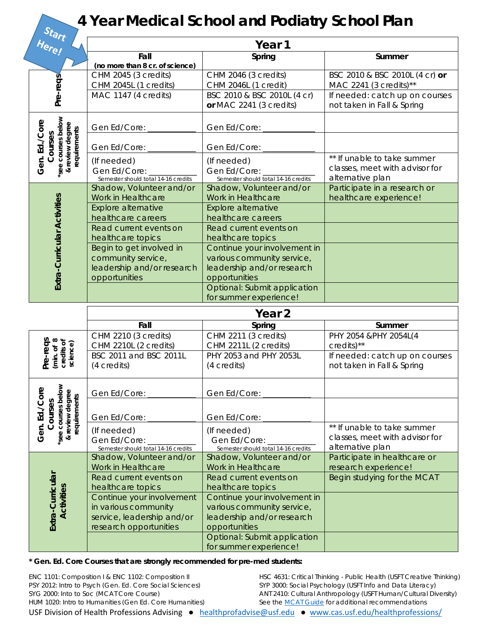## **4 Year Medical School and Podiatry School Plan**

| uart<br>Here!                                                                     | Year 1                                         |                                                            |                                |  |
|-----------------------------------------------------------------------------------|------------------------------------------------|------------------------------------------------------------|--------------------------------|--|
|                                                                                   | Fall                                           | Spring                                                     | Summer                         |  |
|                                                                                   | (no more than 8 cr. of science)                |                                                            |                                |  |
|                                                                                   | CHM 2045 (3 credits)                           | CHM 2046 (3 credits)                                       | BSC 2010 & BSC 2010L (4 cr) or |  |
| Pre-reqs                                                                          | CHM 2045L (1 credits)                          | CHM 2046L (1 credit)                                       | MAC 2241 (3 credits)**         |  |
|                                                                                   | MAC 1147 (4 credits)                           | BSC 2010 & BSC 2010L (4 cr)                                | If needed: catch up on courses |  |
|                                                                                   |                                                | or MAC 2241 (3 credits)                                    | not taken in Fall & Spring     |  |
| see courses below<br>Gen. Ed./Core<br>review degree<br>requirements<br>Courses    | Gen Ed/Core:                                   | Gen Ed/Core:                                               |                                |  |
|                                                                                   | Gen Ed/Core:                                   | Gen Ed/Core:                                               |                                |  |
|                                                                                   | (If needed)                                    | (If needed)                                                | ** If unable to take summer    |  |
| $\infty$                                                                          | Gen Ed/Core:                                   | Gen Ed/Core:                                               | classes, meet with advisor for |  |
|                                                                                   | Semester should total 14-16 credits            | Semester should total 14-16 credits                        | alternative plan               |  |
|                                                                                   | Shadow, Volunteer and/or                       | Shadow, Volunteer and/or                                   | Participate in a research or   |  |
|                                                                                   | Work in Healthcare                             | Work in Healthcare                                         | healthcare experience!         |  |
| Extra-Curricular Activities                                                       | <b>Explore alternative</b>                     | <b>Explore alternative</b>                                 |                                |  |
|                                                                                   | healthcare careers                             | healthcare careers                                         |                                |  |
|                                                                                   | Read current events on                         | Read current events on                                     |                                |  |
|                                                                                   | healthcare topics                              | healthcare topics                                          |                                |  |
|                                                                                   | Begin to get involved in<br>community service, | Continue your involvement in<br>various community service, |                                |  |
|                                                                                   | leadership and/or research                     | leadership and/or research                                 |                                |  |
|                                                                                   | opportunities                                  | opportunities                                              |                                |  |
|                                                                                   |                                                | Optional: Submit application                               |                                |  |
|                                                                                   |                                                | for summer experience!                                     |                                |  |
|                                                                                   | Year <sub>2</sub>                              |                                                            |                                |  |
|                                                                                   | Fall                                           | Spring                                                     | Summer                         |  |
|                                                                                   | CHM 2210 (3 credits)                           | CHM 2211 (3 credits)                                       | PHY 2054 & PHY 2054L(4         |  |
|                                                                                   | CHM 2210L (2 credits)                          | CHM 2211L (2 credits)                                      | $credits)$ **                  |  |
| Pre-reqs<br>(min. of 8<br>credits of<br>science)                                  | BSC 2011 and BSC 2011L                         | PHY 2053 and PHY 2053L                                     | If needed: catch up on courses |  |
|                                                                                   | (4 credits)                                    | (4 credits)                                                | not taken in Fall & Spring     |  |
| Ф                                                                                 |                                                |                                                            |                                |  |
|                                                                                   | Gen Ed/Core:                                   | Gen Ed/Core:                                               |                                |  |
|                                                                                   |                                                |                                                            |                                |  |
| *see courses below<br>& review degree<br>review degree<br>Gen. Ed./Cor<br>Courses | Gen Ed/Core:                                   | Gen Ed/Core:                                               |                                |  |
|                                                                                   | (If needed)                                    | (If needed)                                                | ** If unable to take summer    |  |
|                                                                                   | Gen Ed/Core:                                   | Gen Ed/Core:                                               | classes, meet with advisor for |  |
|                                                                                   | Semester should total 14-16 credits            | Semester should total 14-16 credits                        | alternative plan               |  |
|                                                                                   | Shadow, Volunteer and/or                       | Shadow, Volunteer and/or                                   | Participate in healthcare or   |  |
|                                                                                   | Work in Healthcare                             | Work in Healthcare                                         | research experience!           |  |
|                                                                                   | Read current events on                         | Read current events on                                     | Begin studying for the MCAT    |  |
|                                                                                   | healthcare topics<br>Continue your involvement | healthcare topics<br>Continue your involvement in          |                                |  |
| Activities                                                                        | in various community                           | various community service,                                 |                                |  |
|                                                                                   | service, leadership and/or                     | leadership and/or research                                 |                                |  |
| Extra-Curricular                                                                  |                                                |                                                            |                                |  |
|                                                                                   |                                                |                                                            |                                |  |
|                                                                                   | research opportunities                         | opportunities<br>Optional: Submit application              |                                |  |

## **\* Gen. Ed. Core Courses that are strongly recommended for pre-med students:**

| ENC 1101: Composition I & ENC 1102: Composition II                                                          | HSC 4631: Critical Thinking - Public Health (USFT Creative Thinking) |
|-------------------------------------------------------------------------------------------------------------|----------------------------------------------------------------------|
| PSY 2012: Intro to Psych (Gen. Ed. Core Social Sciences)                                                    | SYP 3000: Social Psychology (USFT Info and Data Literacy)            |
| SYG 2000: Into to Soc (MCAT Core Course)                                                                    | ANT 2410: Cultural Anthropology (USFT Human/Cultural Diversity)      |
| HUM 1020: Intro to Humanities (Gen Ed. Core Humanities)                                                     | See the MCAT Guide for additional recommendations                    |
| USF Division of Health Professions Advising • healthprofadvise@usf.edu • www.cas.usf.edu/healthprofessions/ |                                                                      |